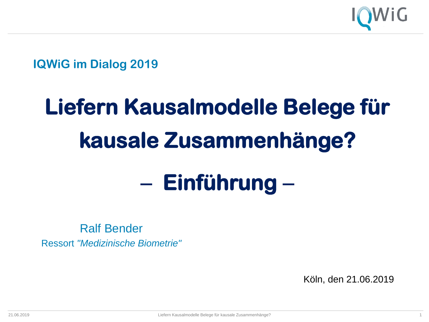

**IQWiG im Dialog 2019**

# **Liefern Kausalmodelle Belege für kausale Zusammenhänge?**

# − **Einführung** −

Ralf Bender Ressort *"Medizinische Biometrie"*

Köln, den 21.06.2019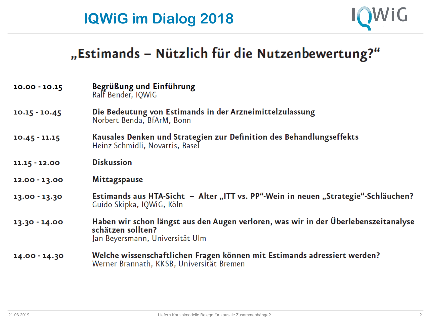

### "Estimands - Nützlich für die Nutzenbewertung?"

| $10.00 - 10.15$ | Begrüßung und Einführung<br>Ralf Bender, IQWIG                                                                                              |
|-----------------|---------------------------------------------------------------------------------------------------------------------------------------------|
| $10.15 - 10.45$ | Die Bedeutung von Estimands in der Arzneimittelzulassung<br>Norbert Benda, BfArM, Bonn                                                      |
| $10.45 - 11.15$ | Kausales Denken und Strategien zur Definition des Behandlungseffekts<br>Heinz Schmidli, Novartis, Basel                                     |
| $11.15 - 12.00$ | <b>Diskussion</b>                                                                                                                           |
| 12.00 - 13.00   | <b>Mittagspause</b>                                                                                                                         |
| 13.00 - 13.30   | Estimands aus HTA-Sicht – Alter "ITT vs. PP"-Wein in neuen "Strategie"-Schläuchen?<br>Guido Skipka, IQWiG, Köln                             |
| 13.30 - 14.00   | Haben wir schon längst aus den Augen verloren, was wir in der Überlebenszeitanalyse<br>schätzen sollten?<br>Jan Beyersmann, Universität Ulm |
| 14.00 - 14.30   | Welche wissenschaftlichen Fragen können mit Estimands adressiert werden?<br>Werner Brannath, KKSB, Universität Bremen                       |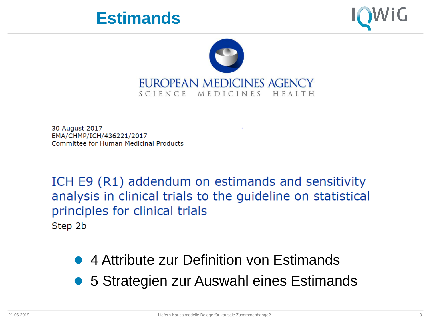





30 August 2017 EMA/CHMP/ICH/436221/2017 Committee for Human Medicinal Products

ICH E9 (R1) addendum on estimands and sensitivity analysis in clinical trials to the guideline on statistical principles for clinical trials Step 2b

- 4 Attribute zur Definition von Estimands
- 5 Strategien zur Auswahl eines Estimands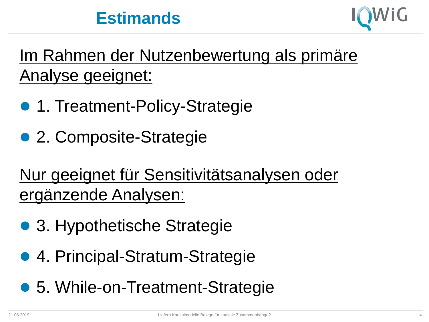### **Estimands**



Im Rahmen der Nutzenbewertung als primäre Analyse geeignet:

- 1. Treatment-Policy-Strategie
- 2. Composite-Strategie

Nur geeignet für Sensitivitätsanalysen oder ergänzende Analysen:

- 3. Hypothetische Strategie
- 4. Principal-Stratum-Strategie
- 5. While-on-Treatment-Strategie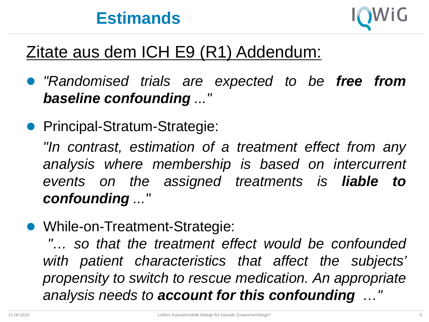

### Zitate aus dem ICH E9 (R1) Addendum:

- *"Randomised trials are expected to be free from baseline confounding ..."*
- Principal-Stratum-Strategie:

*"In contrast, estimation of a treatment effect from any analysis where membership is based on intercurrent events on the assigned treatments is liable to confounding ..."*

• While-on-Treatment-Strategie:

*"… so that the treatment effect would be confounded with patient characteristics that affect the subjects' propensity to switch to rescue medication. An appropriate analysis needs to account for this confounding …"*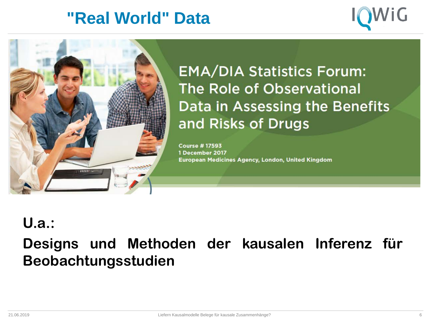### **"Real World" Data**





**EMA/DIA Statistics Forum:** The Role of Observational Data in Assessing the Benefits and Risks of Drugs

**Course #17593** 1 December 2017 European Medicines Agency, London, United Kingdom

### **U.a.:**

**Designs und Methoden der kausalen Inferenz für Beobachtungsstudien**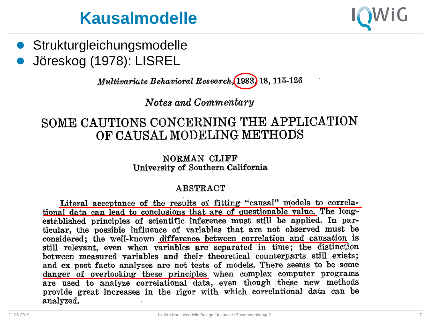### **Kausalmodelle**

- 
- **•** Strukturgleichungsmodelle Jöreskog (1978): LISREL

Multivariate Behavioral Research (1983) 18, 115-126

Notes and Commentary

#### SOME CAUTIONS CONCERNING THE APPLICATION OF CAUSAL MODELING METHODS

#### NORMAN CLIFF University of Southern California

#### **ABSTRACT**

Literal acceptance of the results of fitting "causal" models to correlational data can lead to conclusions that are of questionable value. The longestablished principles of scientific inference must still be applied. In particular, the possible influence of variables that are not observed must be considered; the well-known difference between correlation and causation is still relevant, even when variables are separated in time; the distinction between measured variables and their theoretical counterparts still exists; and ex post facto analyses are not tests of models. There seems to be some danger of overlooking these principles when complex computer programs are used to analyze correlational data, even though these new methods provide great increases in the rigor with which correlational data can be analyzed.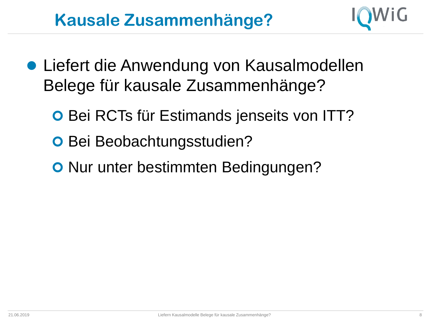## **Kausale Zusammenhänge?**



- Liefert die Anwendung von Kausalmodellen Belege für kausale Zusammenhänge?
	- **O Bei RCTs für Estimands jenseits von ITT?**
	- **O** Bei Beobachtungsstudien?
	- **O** Nur unter bestimmten Bedingungen?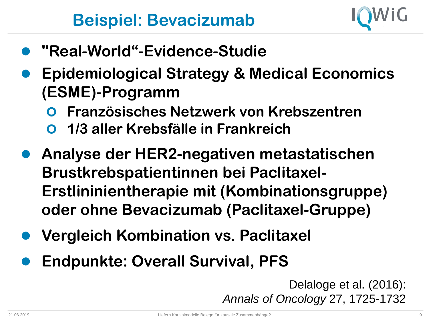

- **"Real-World"-Evidence-Studie**
- **Epidemiological Strategy & Medical Economics (ESME)-Programm**
	- **Französisches Netzwerk von Krebszentren**
	- **1/3 aller Krebsfälle in Frankreich**
- **Analyse der HER2-negativen metastatischen Brustkrebspatientinnen bei Paclitaxel-Erstlininientherapie mit (Kombinationsgruppe) oder ohne Bevacizumab (Paclitaxel-Gruppe)**
- **Vergleich Kombination vs. Paclitaxel**
- **Endpunkte: Overall Survival, PFS**

Delaloge et al. (2016): *Annals of Oncology* 27, 1725-1732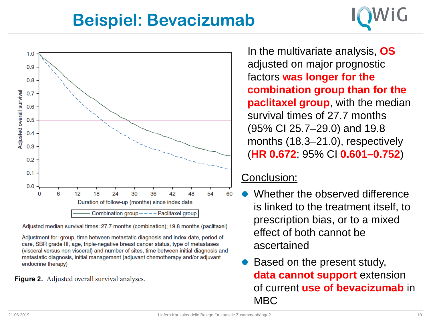### **Beispiel: Bevacizumab**



Adjusted median survival times: 27.7 months (combination); 19.8 months (paclitaxel)

Adjustment for: group, time between metastatic diagnosis and index date, period of care, SBR grade III, age, triple-negative breast cancer status, type of metastases (visceral versus non visceral) and number of sites, time between initial diagnosis and metastatic diagnosis, initial management (adjuvant chemotherapy and/or adjuvant endocrine therapy)

Figure 2. Adjusted overall survival analyses.

In the multivariate analysis, **OS** adjusted on major prognostic factors **was longer for the combination group than for the paclitaxel group**, with the median survival times of 27.7 months (95% CI 25.7–29.0) and 19.8 months (18.3–21.0), respectively (**HR 0.672**; 95% CI **0.601–0.752**)

#### Conclusion:

- Whether the observed difference is linked to the treatment itself, to prescription bias, or to a mixed effect of both cannot be ascertained
- Based on the present study, **data cannot support** extension of current **use of bevacizumab** in MBC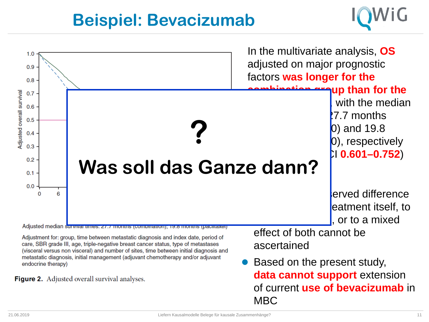### **Beispiel: Bevacizumab**